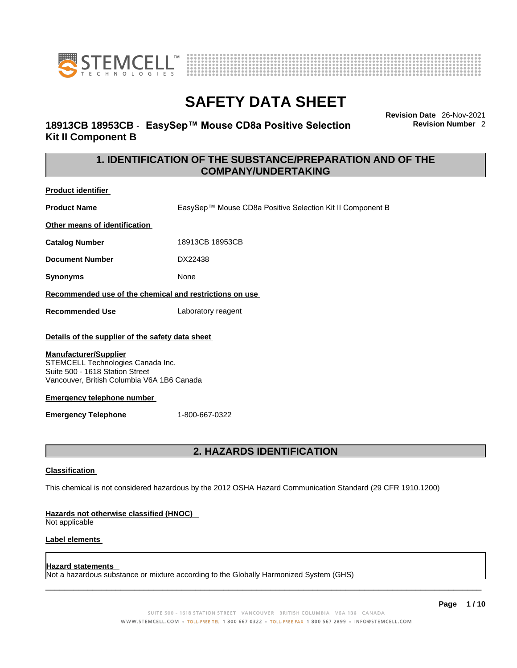



# **18913CB 18953CB** - **EasySep™ Mouse CD8a Positive Selection Kit II Component B**

**Revision Date** 26-Nov-2021 **Revision Number** 2

# **1. IDENTIFICATION OF THE SUBSTANCE/PREPARATION AND OF THE COMPANY/UNDERTAKING**

**Product identifier**

**Product Name** EasySep™ Mouse CD8a Positive Selection Kit II Component B

**Other means of identification**

**Catalog Number** 18913CB 18953CB

**Document Number** DX22438

**Synonyms** None

**Recommended use of the chemical and restrictions on use**

**Recommended Use** Laboratory reagent

### **Details of the supplier of the safety data sheet**

### **Manufacturer/Supplier**

STEMCELL Technologies Canada Inc. Suite 500 - 1618 Station Street Vancouver, British Columbia V6A 1B6 Canada

### **Emergency telephone number**

**Emergency Telephone** 1-800-667-0322

# **2. HAZARDS IDENTIFICATION**

### **Classification**

This chemical is not considered hazardous by the 2012 OSHA Hazard Communication Standard (29 CFR 1910.1200)

### **Hazards not otherwise classified (HNOC)**

Not applicable

### **Label elements**

### **Hazard statements**

Not a hazardous substance or mixture according to the Globally Harmonized System (GHS)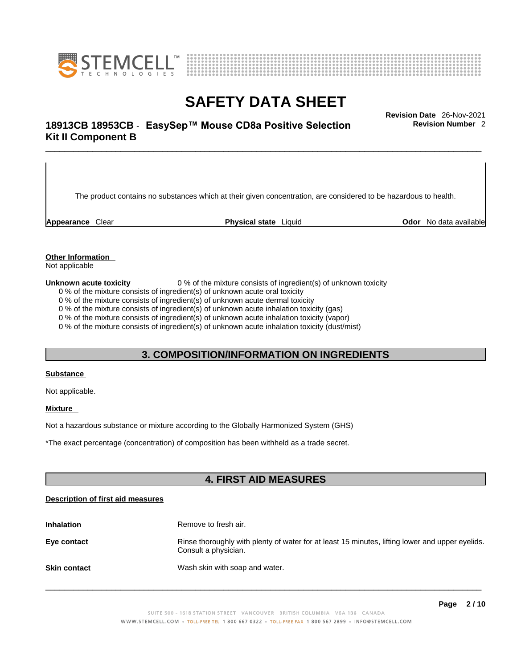



# \_\_\_\_\_\_\_\_\_\_\_\_\_\_\_\_\_\_\_\_\_\_\_\_\_\_\_\_\_\_\_\_\_\_\_\_\_\_\_\_\_\_\_\_\_\_\_\_\_\_\_\_\_\_\_\_\_\_\_\_\_\_\_\_\_\_\_\_\_\_\_\_\_\_\_\_\_\_\_\_\_\_\_\_\_\_\_\_\_\_\_\_\_ **Revision Date** 26-Nov-2021 **18913CB 18953CB** - **EasySep™ Mouse CD8a Positive Selection Kit II Component B**

The product contains no substances which at their given concentration, are considered to be hazardous to health.

**Appearance** Clear **Physical state** Liquid **Odor** No data available

**Revision Number** 2

**Other Information** 

Not applicable

**Unknown acute toxicity** 0 % of the mixture consists of ingredient(s) of unknown toxicity

0 % of the mixture consists of ingredient(s) of unknown acute oral toxicity

0 % of the mixture consists of ingredient(s) of unknown acute dermal toxicity

0 % of the mixture consists of ingredient(s) of unknown acute inhalation toxicity (gas)

0 % of the mixture consists of ingredient(s) of unknown acute inhalation toxicity (vapor)

0 % of the mixture consists of ingredient(s) of unknown acute inhalation toxicity (dust/mist)

# **3. COMPOSITION/INFORMATION ON INGREDIENTS**

#### **Substance**

Not applicable.

### **Mixture**

Not a hazardous substance or mixture according to the Globally Harmonized System (GHS)

\*The exact percentage (concentration) ofcomposition has been withheld as a trade secret.

# **4. FIRST AID MEASURES**

### **Description of first aid measures**

| <b>Inhalation</b>   | Remove to fresh air.                                                                                                    |
|---------------------|-------------------------------------------------------------------------------------------------------------------------|
| Eye contact         | Rinse thoroughly with plenty of water for at least 15 minutes, lifting lower and upper eyelids.<br>Consult a physician. |
| <b>Skin contact</b> | Wash skin with soap and water.                                                                                          |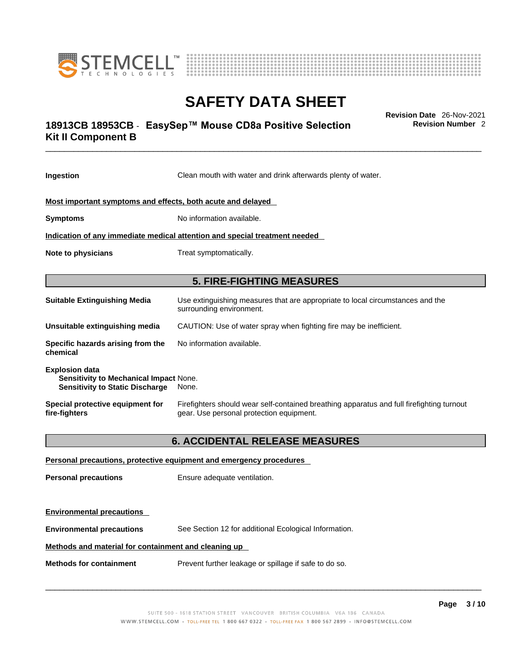



# \_\_\_\_\_\_\_\_\_\_\_\_\_\_\_\_\_\_\_\_\_\_\_\_\_\_\_\_\_\_\_\_\_\_\_\_\_\_\_\_\_\_\_\_\_\_\_\_\_\_\_\_\_\_\_\_\_\_\_\_\_\_\_\_\_\_\_\_\_\_\_\_\_\_\_\_\_\_\_\_\_\_\_\_\_\_\_\_\_\_\_\_\_ **Revision Date** 26-Nov-2021 **18913CB 18953CB** - **EasySep™ Mouse CD8a Positive Selection Kit II Component B**

**Revision Number** 2

| Ingestion                                                                                                        | Clean mouth with water and drink afterwards plenty of water.                                                                          |
|------------------------------------------------------------------------------------------------------------------|---------------------------------------------------------------------------------------------------------------------------------------|
| Most important symptoms and effects, both acute and delayed                                                      |                                                                                                                                       |
| <b>Symptoms</b>                                                                                                  | No information available.                                                                                                             |
|                                                                                                                  | Indication of any immediate medical attention and special treatment needed                                                            |
| Note to physicians                                                                                               | Treat symptomatically.                                                                                                                |
|                                                                                                                  | <b>5. FIRE-FIGHTING MEASURES</b>                                                                                                      |
| <b>Suitable Extinguishing Media</b>                                                                              | Use extinguishing measures that are appropriate to local circumstances and the<br>surrounding environment.                            |
| Unsuitable extinguishing media                                                                                   | CAUTION: Use of water spray when fighting fire may be inefficient.                                                                    |
| Specific hazards arising from the<br>chemical                                                                    | No information available.                                                                                                             |
| <b>Explosion data</b><br><b>Sensitivity to Mechanical Impact None.</b><br><b>Sensitivity to Static Discharge</b> | None.                                                                                                                                 |
| Special protective equipment for<br>fire-fighters                                                                | Firefighters should wear self-contained breathing apparatus and full firefighting turnout<br>gear. Use personal protection equipment. |
|                                                                                                                  | <b>6. ACCIDENTAL RELEASE MEASURES</b>                                                                                                 |
|                                                                                                                  | Personal precautions, protective equipment and emergency procedures                                                                   |
| <b>Personal precautions</b>                                                                                      | Ensure adequate ventilation.                                                                                                          |
| <b>Environmental precautions</b>                                                                                 |                                                                                                                                       |

**Environmental precautions** See Section 12 for additional Ecological Information.

## **Methods and material for containment and cleaning up**

**Methods for containment** Prevent further leakage or spillage if safe to do so.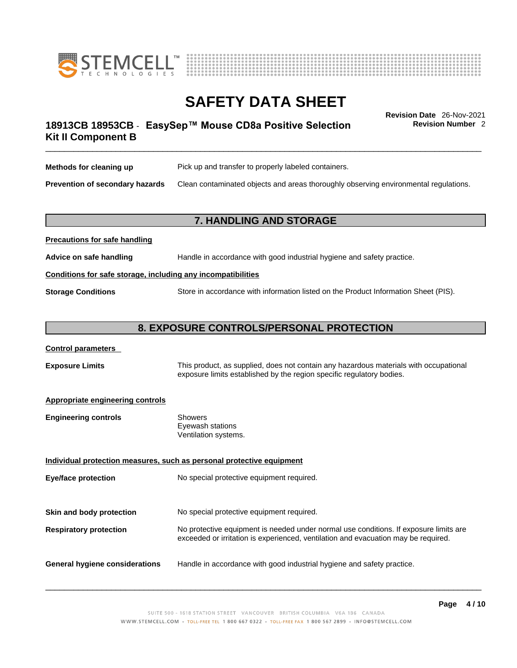



# \_\_\_\_\_\_\_\_\_\_\_\_\_\_\_\_\_\_\_\_\_\_\_\_\_\_\_\_\_\_\_\_\_\_\_\_\_\_\_\_\_\_\_\_\_\_\_\_\_\_\_\_\_\_\_\_\_\_\_\_\_\_\_\_\_\_\_\_\_\_\_\_\_\_\_\_\_\_\_\_\_\_\_\_\_\_\_\_\_\_\_\_\_ **Revision Date** 26-Nov-2021 **18913CB 18953CB** - **EasySep™ Mouse CD8a Positive Selection Kit II Component B**

**Revision Number** 2

| Methods for cleaning up         | Pick up and transfer to properly labeled containers.                                 |
|---------------------------------|--------------------------------------------------------------------------------------|
| Prevention of secondary hazards | Clean contaminated objects and areas thoroughly observing environmental regulations. |

# **7. HANDLING AND STORAGE**

| Advice on safe handling   | Handle in accordance with good industrial hygiene and safety practice.              |  |
|---------------------------|-------------------------------------------------------------------------------------|--|
|                           | Conditions for safe storage, including any incompatibilities                        |  |
| <b>Storage Conditions</b> | Store in accordance with information listed on the Product Information Sheet (PIS). |  |

# **8. EXPOSURE CONTROLS/PERSONAL PROTECTION**

| <b>Control parameters</b> |
|---------------------------|
|---------------------------|

**Precautions for safe handling**

**Exposure Limits** This product, as supplied, does not contain any hazardous materials with occupational exposure limits established by the region specific regulatory bodies.

### **Appropriate engineering controls**

| Showers              |  |
|----------------------|--|
| Eyewash stations     |  |
| Ventilation systems. |  |
|                      |  |

**Individual protection measures, such as personal protective equipment Eye/face protection** No special protective equipment required. **Skin and body protection** No special protective equipment required. **Respiratory protection** No protective equipment is needed under normal use conditions. If exposure limits are exceeded or irritation is experienced, ventilation and evacuation may be required. **General hygiene considerations** Handle in accordance with good industrial hygiene and safety practice.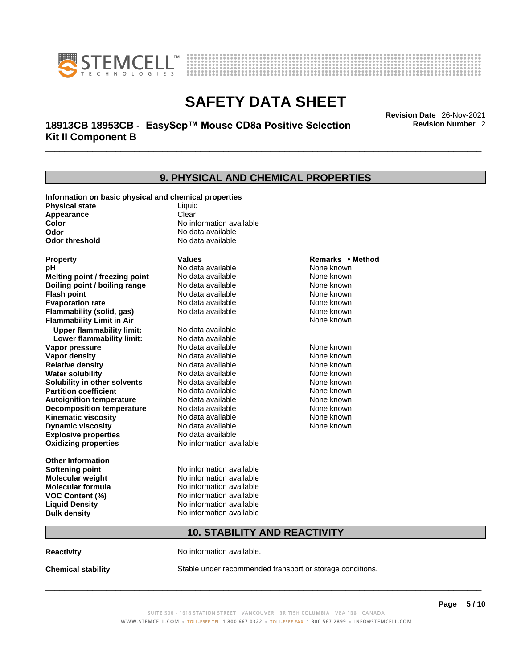



# \_\_\_\_\_\_\_\_\_\_\_\_\_\_\_\_\_\_\_\_\_\_\_\_\_\_\_\_\_\_\_\_\_\_\_\_\_\_\_\_\_\_\_\_\_\_\_\_\_\_\_\_\_\_\_\_\_\_\_\_\_\_\_\_\_\_\_\_\_\_\_\_\_\_\_\_\_\_\_\_\_\_\_\_\_\_\_\_\_\_\_\_\_ **Revision Date** 26-Nov-2021 **18913CB 18953CB** - **EasySep™ Mouse CD8a Positive Selection Kit II Component B**

**Revision Number** 2

## **9. PHYSICAL AND CHEMICAL PROPERTIES Information on basic physical and chemical properties Physical state** Liquid **Appearance** Clear<br> **Color** No int **Color Color Color Color Color Color Color No** data available **Odor Odor Constanting Codor Constanting Codor Codor Codor Codor Codor Codor Codor Codor Codor Codor Codor Codor Codor Codor Codor Codor Codor Codor Codor Codor Codor Codor Codor No data available Explosive properties** No data available **Oxidizing properties** No information available **Other Information Softening point** No information available **Molecular weight** No information available **Molecular formula** No information available<br>**VOC Content (%)** No information available **VOC Content (%) Liquid Density** No information available **Bulk density No information available 10. STABILITY AND REACTIVITY Reactivity No information available. Chemical stability** Stable under recommended transport or storage conditions. **Property CONSIDERENT VALUES PROPERTY Remarks •** Method **pH** No data available None known **Melting point / freezing point Boiling point / boiling range No data available None known Flash point Communist Communist Communist Communist Communist Communist Communist Communist Communist Communist Communist Communist Communist Communist Communist Communist Communist Communist Communist Communist Communi Evaporation rate Reserve ACC** No data available **None known** None known **Flammability (solid, gas)** No data available None known **Flammability Limit in Air** None known **Upper flammability limit:** No data available **Lower flammability limit:** No data available **Vapor pressure No data available None known Vapor density No data available None known Relative density No data available None known** None known **Water solubility No data available** Mome known<br> **Solubility in other solvents** No data available **None known**<br>
None known **Solubility in other solvents** No data available **None known**<br> **Partition coefficient** No data available None known **Partition coefficient**<br>**Autoignition temperature** No data available **Autoignition temperature** No data available None known<br> **Decomposition temperature** No data available None known **Decomposition temperature** No data available None known<br> **Kinematic viscosity** No data available None known **Kinematic viscosity** No data available<br> **Dynamic viscosity** No data available **Dynamic viscosity**  $\_$  ,  $\_$  ,  $\_$  ,  $\_$  ,  $\_$  ,  $\_$  ,  $\_$  ,  $\_$  ,  $\_$  ,  $\_$  ,  $\_$  ,  $\_$  ,  $\_$  ,  $\_$  ,  $\_$  ,  $\_$  ,  $\_$  ,  $\_$  ,  $\_$  ,  $\_$  ,  $\_$  ,  $\_$  ,  $\_$  ,  $\_$  ,  $\_$  ,  $\_$  ,  $\_$  ,  $\_$  ,  $\_$  ,  $\_$  ,  $\_$  ,  $\_$  ,  $\_$  ,  $\_$  ,  $\_$  ,  $\_$  ,  $\_$  , None known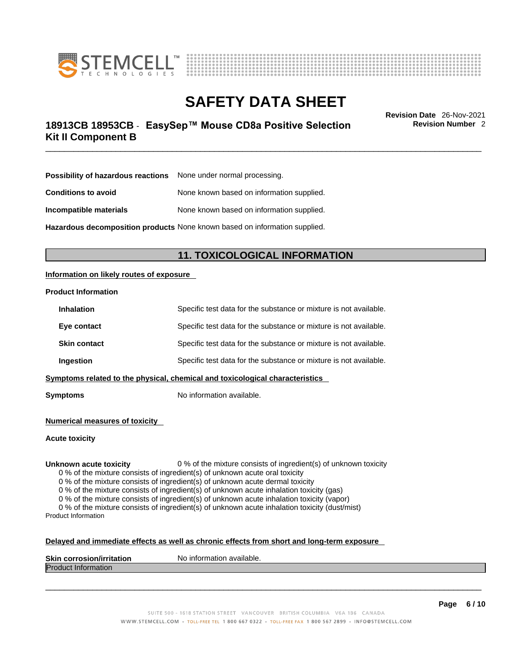



# \_\_\_\_\_\_\_\_\_\_\_\_\_\_\_\_\_\_\_\_\_\_\_\_\_\_\_\_\_\_\_\_\_\_\_\_\_\_\_\_\_\_\_\_\_\_\_\_\_\_\_\_\_\_\_\_\_\_\_\_\_\_\_\_\_\_\_\_\_\_\_\_\_\_\_\_\_\_\_\_\_\_\_\_\_\_\_\_\_\_\_\_\_ **Revision Date** 26-Nov-2021 **18913CB 18953CB** - **EasySep™ Mouse CD8a Positive Selection Kit II Component B**

**Revision Number** 2

| Possibility of hazardous reactions | None under normal processing.             |
|------------------------------------|-------------------------------------------|
| <b>Conditions to avoid</b>         | None known based on information supplied. |
| Incompatible materials             | None known based on information supplied. |

**Hazardous decomposition products** None known based on information supplied.

# **11. TOXICOLOGICAL INFORMATION**

### **Information on likely routes of exposure**

#### **Product Information**

| <b>Inhalation</b>   | Specific test data for the substance or mixture is not available.            |
|---------------------|------------------------------------------------------------------------------|
| Eye contact         | Specific test data for the substance or mixture is not available.            |
| <b>Skin contact</b> | Specific test data for the substance or mixture is not available.            |
| <b>Ingestion</b>    | Specific test data for the substance or mixture is not available.            |
|                     | Symptoms related to the physical, chemical and toxicological characteristics |

**Symptoms** No information available.

**Numerical measures of toxicity**

**Acute toxicity**

**Unknown acute toxicity** 0 % of the mixture consists of ingredient(s) of unknown toxicity

0 % of the mixture consists of ingredient(s) of unknown acute oral toxicity

0 % of the mixture consists of ingredient(s) of unknown acute dermal toxicity

0 % of the mixture consists of ingredient(s) of unknown acute inhalation toxicity (gas)

0 % of the mixture consists of ingredient(s) of unknown acute inhalation toxicity (vapor)

0 % of the mixture consists of ingredient(s) of unknown acute inhalation toxicity (dust/mist) Product Information

#### **Delayed and immediate effects as well as chronic effects from short and long-term exposure**

| <b>Skin corrosion/irr</b>      | `available. |
|--------------------------------|-------------|
| a a sea a i a miliesitati a m  | No inforn   |
| ratior                         | nation      |
| <b>IProdi</b><br><b>INTOFF</b> |             |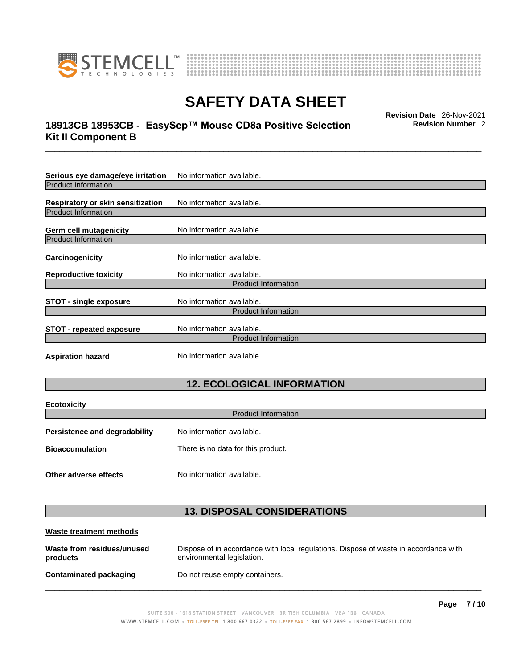

**Ecotoxicity** 



# **SAFETY DATA SHEET**

# \_\_\_\_\_\_\_\_\_\_\_\_\_\_\_\_\_\_\_\_\_\_\_\_\_\_\_\_\_\_\_\_\_\_\_\_\_\_\_\_\_\_\_\_\_\_\_\_\_\_\_\_\_\_\_\_\_\_\_\_\_\_\_\_\_\_\_\_\_\_\_\_\_\_\_\_\_\_\_\_\_\_\_\_\_\_\_\_\_\_\_\_\_ **Revision Date** 26-Nov-2021 **18913CB 18953CB** - **EasySep™ Mouse CD8a Positive Selection Kit II Component B**

**Revision Number** 2

| Serious eye damage/eye irritation                               | No information available.                               |
|-----------------------------------------------------------------|---------------------------------------------------------|
| <b>Product Information</b>                                      |                                                         |
| Respiratory or skin sensitization<br><b>Product Information</b> | No information available.                               |
|                                                                 |                                                         |
| Germ cell mutagenicity                                          | No information available.                               |
| <b>Product Information</b>                                      |                                                         |
| Carcinogenicity                                                 | No information available.                               |
| <b>Reproductive toxicity</b>                                    | No information available.                               |
|                                                                 | <b>Product Information</b>                              |
| <b>STOT - single exposure</b>                                   | No information available.                               |
|                                                                 | <b>Product Information</b>                              |
| <b>STOT - repeated exposure</b>                                 | No information available.<br><b>Product Information</b> |
| <b>Aspiration hazard</b>                                        | No information available.                               |

# **12. ECOLOGICAL INFORMATION**

| ECOLOXICITY<br><b>Product Information</b> |                                    |
|-------------------------------------------|------------------------------------|
| <b>Persistence and degradability</b>      | No information available.          |
| <b>Bioaccumulation</b>                    | There is no data for this product. |
| Other adverse effects                     | No information available.          |

# **13. DISPOSAL CONSIDERATIONS**

| Waste treatment methods                |                                                                                                                    |
|----------------------------------------|--------------------------------------------------------------------------------------------------------------------|
| Waste from residues/unused<br>products | Dispose of in accordance with local regulations. Dispose of waste in accordance with<br>environmental legislation. |
| Contaminated packaging                 | Do not reuse empty containers.                                                                                     |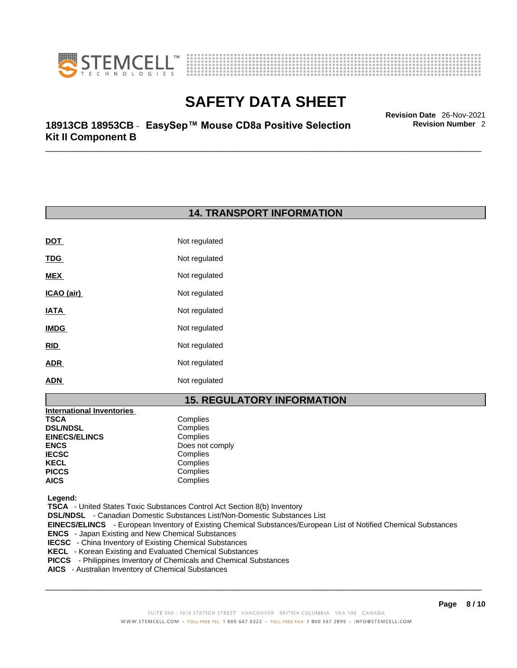



\_\_\_\_\_\_\_\_\_\_\_\_\_\_\_\_\_\_\_\_\_\_\_\_\_\_\_\_\_\_\_\_\_\_\_\_\_\_\_\_\_\_\_\_\_\_\_\_\_\_\_\_\_\_\_\_\_\_\_\_\_\_\_\_\_\_\_\_\_\_\_\_\_\_\_\_\_\_\_\_\_\_\_\_\_\_\_\_\_\_\_\_\_ **Revision Date** 26-Nov-2021 **18913CB 18953CB** - **EasySep™ Mouse CD8a Positive Selection Kit II Component B** 

# **14. TRANSPORT INFORMATION**

| <b>DOT</b>  | Not regulated |
|-------------|---------------|
| <u>TDG</u>  | Not regulated |
| <b>MEX</b>  | Not regulated |
| ICAO (air)  | Not regulated |
| <b>IATA</b> | Not regulated |
| <b>IMDG</b> | Not regulated |
| <b>RID</b>  | Not regulated |
| <b>ADR</b>  | Not regulated |
| ADN         | Not regulated |

# **15. REGULATORY INFORMATION**

| <b>International Inventories</b> |                 |
|----------------------------------|-----------------|
| TSCA                             | Complies        |
| <b>DSL/NDSL</b>                  | Complies        |
| <b>EINECS/ELINCS</b>             | Complies        |
| ENCS                             | Does not comply |
| <b>IECSC</b>                     | Complies        |
| KECL                             | Complies        |
| PICCS                            | Complies        |
| AICS                             | Complies        |
|                                  |                 |

 **Legend:** 

 **TSCA** - United States Toxic Substances Control Act Section 8(b) Inventory

 **DSL/NDSL** - Canadian Domestic Substances List/Non-Domestic Substances List

 **EINECS/ELINCS** - European Inventory of Existing Chemical Substances/European List of Notified Chemical Substances

- **ENCS**  Japan Existing and New Chemical Substances
- **IECSC**  China Inventory of Existing Chemical Substances
- **KECL**  Korean Existing and Evaluated Chemical Substances
- **PICCS**  Philippines Inventory of Chemicals and Chemical Substances
- **AICS**  Australian Inventory of Chemical Substances

 $\_$  ,  $\_$  ,  $\_$  ,  $\_$  ,  $\_$  ,  $\_$  ,  $\_$  ,  $\_$  ,  $\_$  ,  $\_$  ,  $\_$  ,  $\_$  ,  $\_$  ,  $\_$  ,  $\_$  ,  $\_$  ,  $\_$  ,  $\_$  ,  $\_$  ,  $\_$  ,  $\_$  ,  $\_$  ,  $\_$  ,  $\_$  ,  $\_$  ,  $\_$  ,  $\_$  ,  $\_$  ,  $\_$  ,  $\_$  ,  $\_$  ,  $\_$  ,  $\_$  ,  $\_$  ,  $\_$  ,  $\_$  ,  $\_$  ,

**Revision Number** 2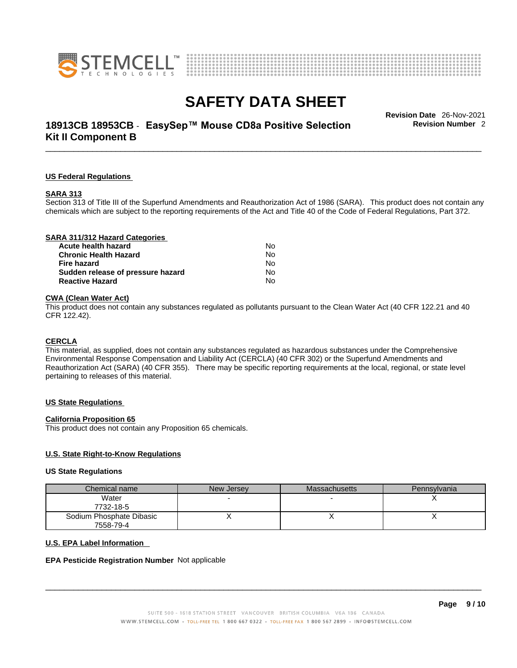



# \_\_\_\_\_\_\_\_\_\_\_\_\_\_\_\_\_\_\_\_\_\_\_\_\_\_\_\_\_\_\_\_\_\_\_\_\_\_\_\_\_\_\_\_\_\_\_\_\_\_\_\_\_\_\_\_\_\_\_\_\_\_\_\_\_\_\_\_\_\_\_\_\_\_\_\_\_\_\_\_\_\_\_\_\_\_\_\_\_\_\_\_\_ **Revision Date** 26-Nov-2021 **18913CB 18953CB** - **EasySep™ Mouse CD8a Positive Selection Kit II Component B**

**Revision Number** 2

#### **US Federal Regulations**

#### **SARA 313**

Section 313 of Title III of the Superfund Amendments and Reauthorization Act of 1986 (SARA). This product does not contain any chemicals which are subject to the reporting requirements of the Act and Title 40 of the Code of Federal Regulations, Part 372.

## **CWA** (Clean Water Act)

This product does not contain any substances regulated as pollutants pursuant to the Clean Water Act (40 CFR 122.21 and 40 CFR 122.42).

#### **CERCLA**

This material, as supplied, does not contain any substances regulated as hazardous substances under the Comprehensive Environmental Response Compensation and Liability Act (CERCLA) (40 CFR 302) or the Superfund Amendments and Reauthorization Act (SARA) (40 CFR 355). There may be specific reporting requirements at the local, regional, or state level pertaining to releases of this material.

#### **US State Regulations**

#### **California Proposition 65**

This product does not contain any Proposition 65 chemicals.

### **U.S. State Right-to-Know Regulations**

#### **US State Regulations**

| Chemical name            | New Jersey | <b>Massachusetts</b> | Pennsylvania |
|--------------------------|------------|----------------------|--------------|
| Water                    |            |                      |              |
| 7732-18-5                |            |                      |              |
| Sodium Phosphate Dibasic |            |                      |              |
| 7558-79-4                |            |                      |              |

#### **U.S. EPA Label Information**

#### **EPA Pesticide Registration Number** Not applicable